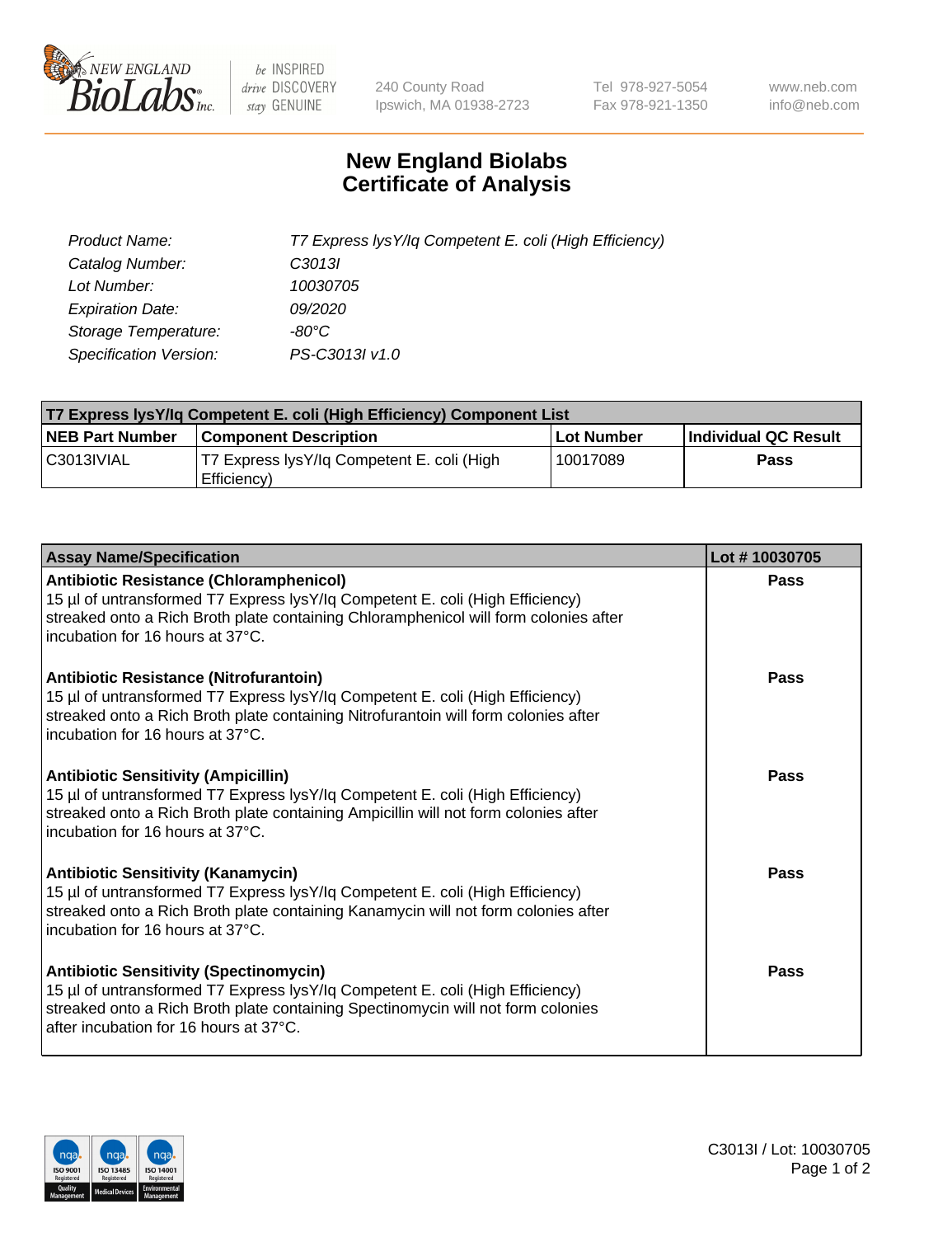

 $be$  INSPIRED drive DISCOVERY stay GENUINE

240 County Road Ipswich, MA 01938-2723 Tel 978-927-5054 Fax 978-921-1350 www.neb.com info@neb.com

## **New England Biolabs Certificate of Analysis**

| Product Name:           | T7 Express lysY/lq Competent E. coli (High Efficiency) |
|-------------------------|--------------------------------------------------------|
| Catalog Number:         | C <sub>3013</sub>                                      |
| Lot Number:             | 10030705                                               |
| <b>Expiration Date:</b> | <i>09/2020</i>                                         |
| Storage Temperature:    | -80°C                                                  |
| Specification Version:  | PS-C3013I v1.0                                         |

| T7 Express lysY/lq Competent E. coli (High Efficiency) Component List |                                                           |            |                      |  |
|-----------------------------------------------------------------------|-----------------------------------------------------------|------------|----------------------|--|
| <b>NEB Part Number</b>                                                | <b>Component Description</b>                              | Lot Number | Individual QC Result |  |
| C3013IVIAL                                                            | T7 Express lysY/lq Competent E. coli (High<br>Efficiency) | 10017089   | <b>Pass</b>          |  |

| <b>Assay Name/Specification</b>                                                                                                                                                                                                                              | Lot #10030705 |
|--------------------------------------------------------------------------------------------------------------------------------------------------------------------------------------------------------------------------------------------------------------|---------------|
| <b>Antibiotic Resistance (Chloramphenicol)</b><br>15 µl of untransformed T7 Express lysY/lq Competent E. coli (High Efficiency)<br>streaked onto a Rich Broth plate containing Chloramphenicol will form colonies after<br>incubation for 16 hours at 37°C.  | <b>Pass</b>   |
| <b>Antibiotic Resistance (Nitrofurantoin)</b><br>15 µl of untransformed T7 Express lysY/lq Competent E. coli (High Efficiency)<br>streaked onto a Rich Broth plate containing Nitrofurantoin will form colonies after<br>incubation for 16 hours at 37°C.    | Pass          |
| <b>Antibiotic Sensitivity (Ampicillin)</b><br>15 µl of untransformed T7 Express lysY/lq Competent E. coli (High Efficiency)<br>streaked onto a Rich Broth plate containing Ampicillin will not form colonies after<br>incubation for 16 hours at 37°C.       | Pass          |
| <b>Antibiotic Sensitivity (Kanamycin)</b><br>15 µl of untransformed T7 Express lysY/lq Competent E. coli (High Efficiency)<br>streaked onto a Rich Broth plate containing Kanamycin will not form colonies after<br>incubation for 16 hours at 37°C.         | <b>Pass</b>   |
| <b>Antibiotic Sensitivity (Spectinomycin)</b><br>15 µl of untransformed T7 Express lysY/lq Competent E. coli (High Efficiency)<br>streaked onto a Rich Broth plate containing Spectinomycin will not form colonies<br>after incubation for 16 hours at 37°C. | Pass          |